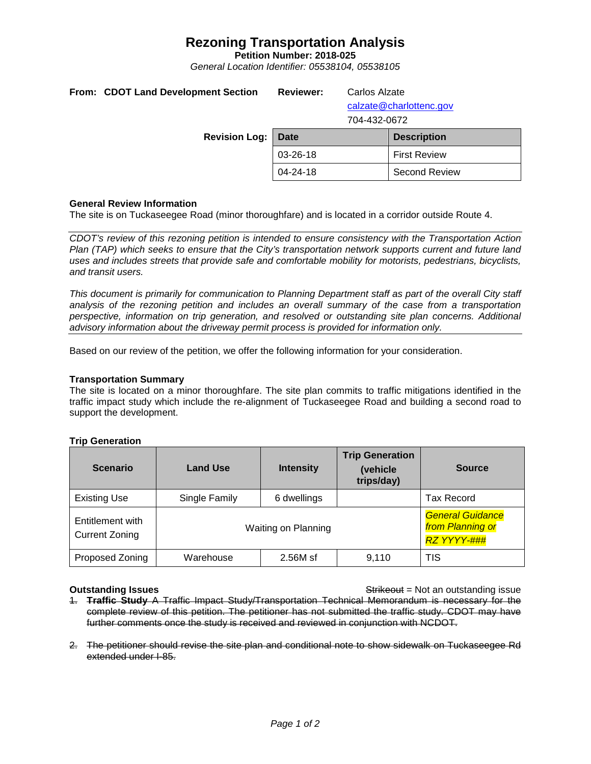# **Rezoning Transportation Analysis**

**Petition Number: 2018-025**

*General Location Identifier: 05538104, 05538105*

|  | From: CDOT Land Development Section<br><b>Revision Log:</b> | <b>Reviewer:</b><br>Carlos Alzate<br>calzate@charlottenc.gov<br>704-432-0672 |  |                      |  |
|--|-------------------------------------------------------------|------------------------------------------------------------------------------|--|----------------------|--|
|  |                                                             | Date                                                                         |  | <b>Description</b>   |  |
|  |                                                             | 03-26-18                                                                     |  | <b>First Review</b>  |  |
|  |                                                             | 04-24-18                                                                     |  | <b>Second Review</b> |  |
|  |                                                             |                                                                              |  |                      |  |

### **General Review Information**

The site is on Tuckaseegee Road (minor thoroughfare) and is located in a corridor outside Route 4.

*CDOT's review of this rezoning petition is intended to ensure consistency with the Transportation Action Plan (TAP) which seeks to ensure that the City's transportation network supports current and future land uses and includes streets that provide safe and comfortable mobility for motorists, pedestrians, bicyclists, and transit users.*

*This document is primarily for communication to Planning Department staff as part of the overall City staff analysis of the rezoning petition and includes an overall summary of the case from a transportation perspective, information on trip generation, and resolved or outstanding site plan concerns. Additional advisory information about the driveway permit process is provided for information only.*

Based on our review of the petition, we offer the following information for your consideration.

#### **Transportation Summary**

The site is located on a minor thoroughfare. The site plan commits to traffic mitigations identified in the traffic impact study which include the re-alignment of Tuckaseegee Road and building a second road to support the development.

| <b>Scenario</b>                           | <b>Land Use</b>     | <b>Intensity</b> | <b>Trip Generation</b><br>(vehicle<br>trips/day) | <b>Source</b>                                                     |
|-------------------------------------------|---------------------|------------------|--------------------------------------------------|-------------------------------------------------------------------|
| <b>Existing Use</b>                       | Single Family       | 6 dwellings      |                                                  | Tax Record                                                        |
| Entitlement with<br><b>Current Zoning</b> | Waiting on Planning |                  |                                                  | <b>General Guidance</b><br>from Planning or<br><b>RZ YYYY-###</b> |
| Proposed Zoning                           | Warehouse           | 2.56M sf         | 9.110                                            | TIS                                                               |

### **Trip Generation**

**Outstanding Issues Container and Strikeout = Not an outstanding issue Strikeout = Not an outstanding issue** 

- 1. **Traffic Study** A Traffic Impact Study/Transportation Technical Memorandum is necessary for the complete review of this petition. The petitioner has not submitted the traffic study. CDOT may have further comments once the study is received and reviewed in conjunction with NCDOT.
- 2. The petitioner should revise the site plan and conditional note to show sidewalk on Tuckaseegee Rd extended under I-85.